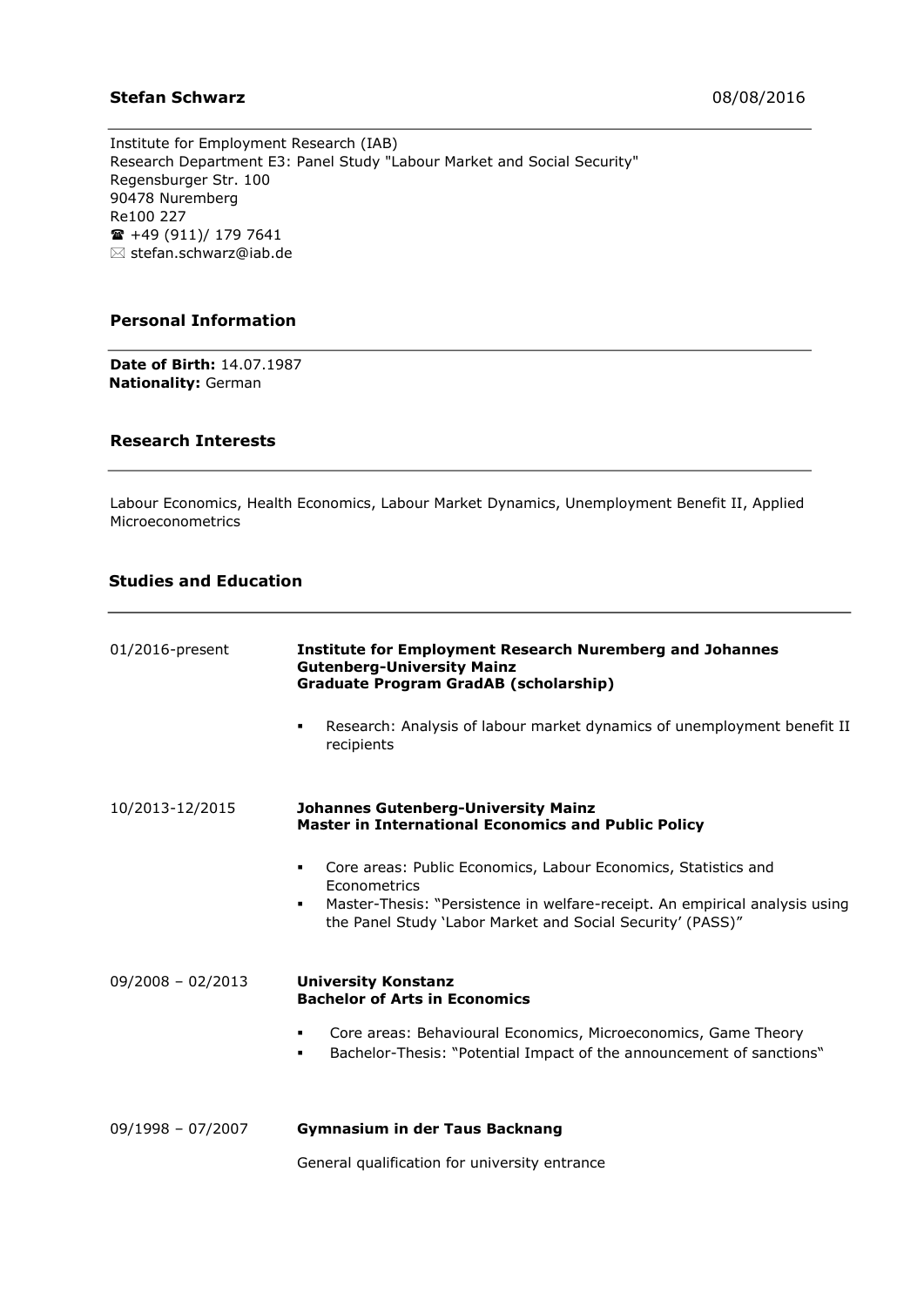#### **Stefan Schwarz** 08/08/2016

Institute for Employment Research (IAB) Research Department E3: Panel Study "Labour Market and Social Security" Regensburger Str. 100 90478 Nuremberg Re100 227  $\hat{=}$  +49 (911)/ 179 7641  $\boxtimes$  stefan.schwarz@iab.de

#### **Personal Information**

**Date of Birth:** 14.07.1987 **Nationality:** German

#### **Research Interests**

Labour Economics, Health Economics, Labour Market Dynamics, Unemployment Benefit II, Applied Microeconometrics

### **Studies and Education**

| 01/2016-present     | <b>Institute for Employment Research Nuremberg and Johannes</b><br><b>Gutenberg-University Mainz</b><br><b>Graduate Program GradAB (scholarship)</b>                   |
|---------------------|------------------------------------------------------------------------------------------------------------------------------------------------------------------------|
|                     | Research: Analysis of labour market dynamics of unemployment benefit II<br>٠<br>recipients                                                                             |
| 10/2013-12/2015     | <b>Johannes Gutenberg-University Mainz</b><br><b>Master in International Economics and Public Policy</b>                                                               |
|                     | Core areas: Public Economics, Labour Economics, Statistics and<br>٠                                                                                                    |
|                     | <b>F</b> conometrics<br>Master-Thesis: "Persistence in welfare-receipt. An empirical analysis using<br>٠<br>the Panel Study 'Labor Market and Social Security' (PASS)" |
| $09/2008 - 02/2013$ | <b>University Konstanz</b><br><b>Bachelor of Arts in Economics</b>                                                                                                     |
|                     | Core areas: Behavioural Economics, Microeconomics, Game Theory<br>٠<br>Bachelor-Thesis: "Potential Impact of the announcement of sanctions"<br>٠                       |
| $09/1998 - 07/2007$ | <b>Gymnasium in der Taus Backnang</b>                                                                                                                                  |

General qualification for university entrance